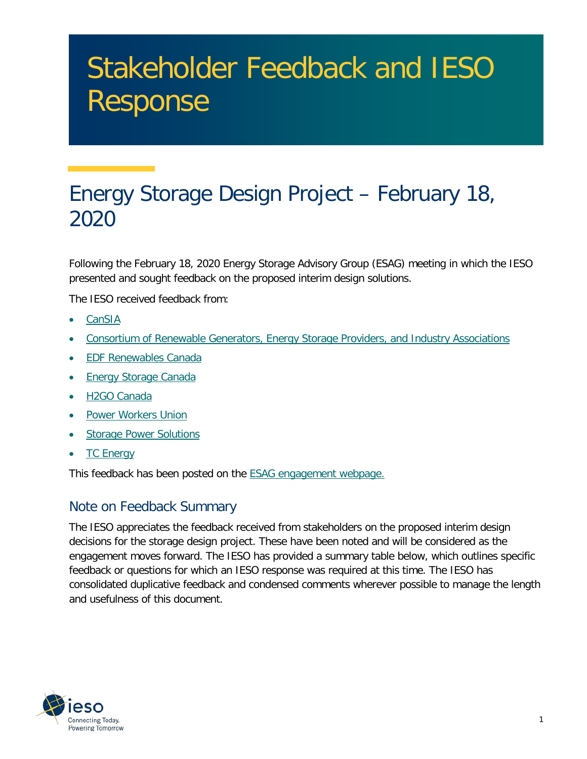# Stakeholder Feedback and IESO Response

# Energy Storage Design Project – February 18, 2020

 Following the February 18, 2020 Energy Storage Advisory Group (ESAG) meeting in which the IESO presented and sought feedback on the proposed interim design solutions.

The IESO received feedback from:

- [CanSIA](http://www.ieso.ca/-/media/Files/IESO/Document-Library/engage/esag/esag-20200306-cansia.pdf?la=en)
- [Consortium of Renewable Generators, Energy Storage Providers, and Industry Associations](http://www.ieso.ca/-/media/Files/IESO/Document-Library/engage/esag/esag-20200306-consortium.pdf?la=en)
- **EDF Renewables Canada**
- Energy Storage Canada
- [H2GO Canada](http://www.ieso.ca/-/media/Files/IESO/Document-Library/engage/esag/esag-20200306-h2go-canada.pdf?la=en)
- Power Workers Union
- Storage Power Solutions
- [TC Energy](http://www.ieso.ca/-/media/Files/IESO/Document-Library/engage/esag/esag-20200306-tc-energy.pdf?la=en)

This feedback has been posted on the <u>ESAG engagement webpage.</u>

# Note on Feedback Summary

 The IESO appreciates the feedback received from stakeholders on the proposed interim design decisions for the storage design project. These have been noted and will be considered as the engagement moves forward. The IESO has provided a summary table below, which outlines specific feedback or questions for which an IESO response was required at this time. The IESO has consolidated duplicative feedback and condensed comments wherever possible to manage the length and usefulness of this document.

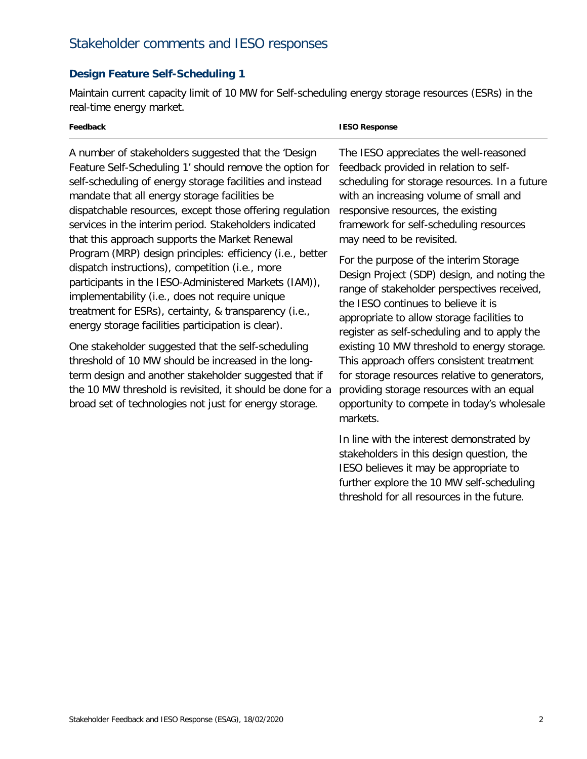# Stakeholder comments and IESO responses

# **Design Feature Self-Scheduling 1**

Maintain current capacity limit of 10 MW for Self-scheduling energy storage resources (ESRs) in the real-time energy market.

| Feedback                                                                                                                                                                                                                                                                                  | <b>IESO Response</b>                                                                                                                                                                                                                              |
|-------------------------------------------------------------------------------------------------------------------------------------------------------------------------------------------------------------------------------------------------------------------------------------------|---------------------------------------------------------------------------------------------------------------------------------------------------------------------------------------------------------------------------------------------------|
| A number of stakeholders suggested that the 'Design                                                                                                                                                                                                                                       | The IESO appreciates the well-reasoned                                                                                                                                                                                                            |
| Feature Self-Scheduling 1' should remove the option for                                                                                                                                                                                                                                   | feedback provided in relation to self-                                                                                                                                                                                                            |
| self-scheduling of energy storage facilities and instead                                                                                                                                                                                                                                  | scheduling for storage resources. In a future                                                                                                                                                                                                     |
| mandate that all energy storage facilities be                                                                                                                                                                                                                                             | with an increasing volume of small and                                                                                                                                                                                                            |
| dispatchable resources, except those offering regulation                                                                                                                                                                                                                                  | responsive resources, the existing                                                                                                                                                                                                                |
| services in the interim period. Stakeholders indicated                                                                                                                                                                                                                                    | framework for self-scheduling resources                                                                                                                                                                                                           |
| that this approach supports the Market Renewal                                                                                                                                                                                                                                            | may need to be revisited.                                                                                                                                                                                                                         |
| Program (MRP) design principles: efficiency (i.e., better                                                                                                                                                                                                                                 | For the purpose of the interim Storage                                                                                                                                                                                                            |
| dispatch instructions), competition (i.e., more                                                                                                                                                                                                                                           | Design Project (SDP) design, and noting the                                                                                                                                                                                                       |
| participants in the IESO-Administered Markets (IAM)),                                                                                                                                                                                                                                     | range of stakeholder perspectives received,                                                                                                                                                                                                       |
| implementability (i.e., does not require unique                                                                                                                                                                                                                                           | the IESO continues to believe it is                                                                                                                                                                                                               |
| treatment for ESRs), certainty, & transparency (i.e.,                                                                                                                                                                                                                                     | appropriate to allow storage facilities to                                                                                                                                                                                                        |
| energy storage facilities participation is clear).                                                                                                                                                                                                                                        | register as self-scheduling and to apply the                                                                                                                                                                                                      |
| One stakeholder suggested that the self-scheduling<br>threshold of 10 MW should be increased in the long-<br>term design and another stakeholder suggested that if<br>the 10 MW threshold is revisited, it should be done for a<br>broad set of technologies not just for energy storage. | existing 10 MW threshold to energy storage.<br>This approach offers consistent treatment<br>for storage resources relative to generators,<br>providing storage resources with an equal<br>opportunity to compete in today's wholesale<br>markets. |

 stakeholders in this design question, the IESO believes it may be appropriate to threshold for all resources in the future. In line with the interest demonstrated by further explore the 10 MW self-scheduling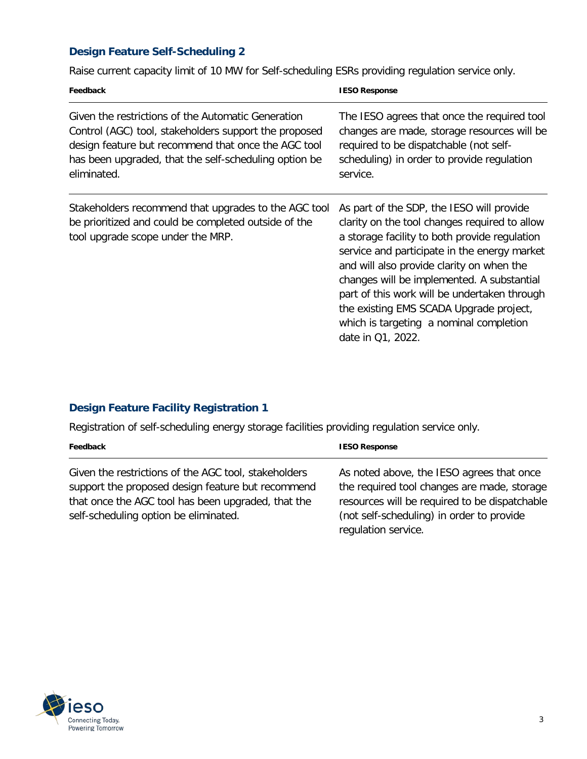# **Design Feature Self-Scheduling 2**

Raise current capacity limit of 10 MW for Self-scheduling ESRs providing regulation service only.

| Feedback                                                                                                                                                                                                                                   | <b>IESO Response</b>                                                                                                                                                                                                                                                                                                                                                                                                                              |
|--------------------------------------------------------------------------------------------------------------------------------------------------------------------------------------------------------------------------------------------|---------------------------------------------------------------------------------------------------------------------------------------------------------------------------------------------------------------------------------------------------------------------------------------------------------------------------------------------------------------------------------------------------------------------------------------------------|
| Given the restrictions of the Automatic Generation<br>Control (AGC) tool, stakeholders support the proposed<br>design feature but recommend that once the AGC tool<br>has been upgraded, that the self-scheduling option be<br>eliminated. | The IESO agrees that once the required tool<br>changes are made, storage resources will be<br>required to be dispatchable (not self-<br>scheduling) in order to provide regulation<br>service.                                                                                                                                                                                                                                                    |
| Stakeholders recommend that upgrades to the AGC tool<br>be prioritized and could be completed outside of the<br>tool upgrade scope under the MRP.                                                                                          | As part of the SDP, the IESO will provide<br>clarity on the tool changes required to allow<br>a storage facility to both provide regulation<br>service and participate in the energy market<br>and will also provide clarity on when the<br>changes will be implemented. A substantial<br>part of this work will be undertaken through<br>the existing EMS SCADA Upgrade project,<br>which is targeting a nominal completion<br>date in Q1, 2022. |

# **Design Feature Facility Registration 1**

Registration of self-scheduling energy storage facilities providing regulation service only.

| Feedback                                                                                                                                                                                                 | <b>IESO Response</b>                                                                                                                                                                                          |
|----------------------------------------------------------------------------------------------------------------------------------------------------------------------------------------------------------|---------------------------------------------------------------------------------------------------------------------------------------------------------------------------------------------------------------|
| Given the restrictions of the AGC tool, stakeholders<br>support the proposed design feature but recommend<br>that once the AGC tool has been upgraded, that the<br>self-scheduling option be eliminated. | As noted above, the IESO agrees that once<br>the required tool changes are made, storage<br>resources will be required to be dispatchable<br>(not self-scheduling) in order to provide<br>regulation service. |

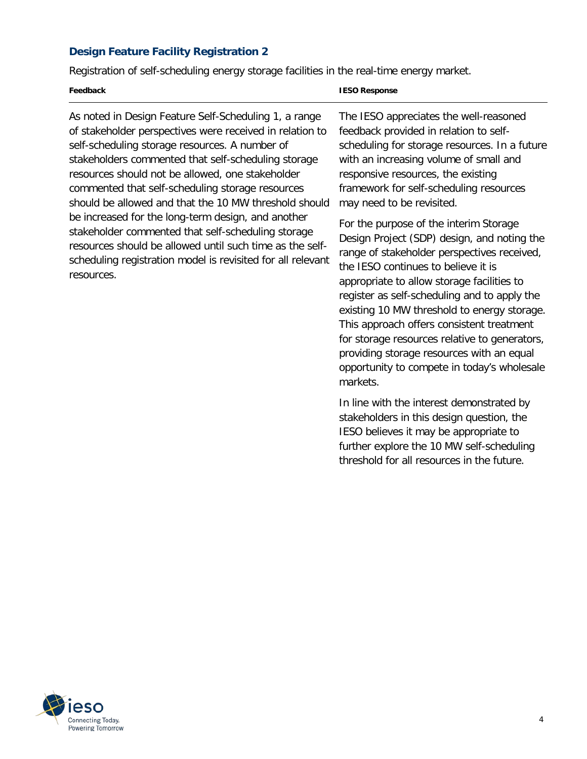## **Design Feature Facility Registration 2**

Registration of self-scheduling energy storage facilities in the real-time energy market.

| Feedback | <b>IESO Response</b> |
|----------|----------------------|
|          |                      |

 As noted in Design Feature Self-Scheduling 1, a range of stakeholder perspectives were received in relation to self-scheduling storage resources. A number of stakeholders commented that self-scheduling storage resources should not be allowed, one stakeholder commented that self-scheduling storage resources should be allowed and that the 10 MW threshold should be increased for the long-term design, and another stakeholder commented that self-scheduling storage resources should be allowed until such time as the self- scheduling registration model is revisited for all relevant resources.

 The IESO appreciates the well-reasoned feedback provided in relation to self- scheduling for storage resources. In a future with an increasing volume of small and responsive resources, the existing framework for self-scheduling resources may need to be revisited.

 For the purpose of the interim Storage range of stakeholder perspectives received, the IESO continues to believe it is appropriate to allow storage facilities to register as self-scheduling and to apply the existing 10 MW threshold to energy storage. for storage resources relative to generators, providing storage resources with an equal opportunity to compete in today's wholesale Design Project (SDP) design, and noting the This approach offers consistent treatment markets.

 stakeholders in this design question, the IESO believes it may be appropriate to threshold for all resources in the future. In line with the interest demonstrated by further explore the 10 MW self-scheduling

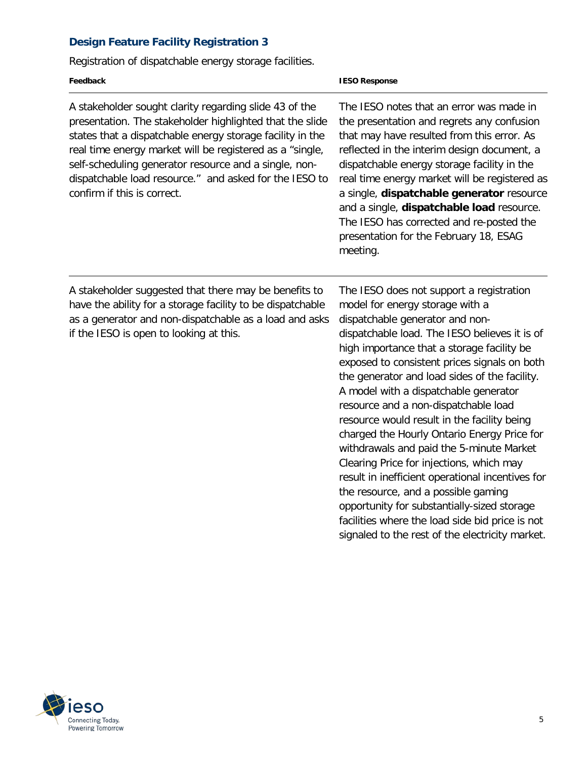# **Design Feature Facility Registration 3**

Registration of dispatchable energy storage facilities.

| Feedback                                                                                                                                                                                                                                                                                                                                                                                      | <b>IESO Response</b>                                                                                                                                                                                                                                                                                                                                                                                                                                                                                                                                                                                                                                                                                                                                                                                                                  |
|-----------------------------------------------------------------------------------------------------------------------------------------------------------------------------------------------------------------------------------------------------------------------------------------------------------------------------------------------------------------------------------------------|---------------------------------------------------------------------------------------------------------------------------------------------------------------------------------------------------------------------------------------------------------------------------------------------------------------------------------------------------------------------------------------------------------------------------------------------------------------------------------------------------------------------------------------------------------------------------------------------------------------------------------------------------------------------------------------------------------------------------------------------------------------------------------------------------------------------------------------|
| A stakeholder sought clarity regarding slide 43 of the<br>presentation. The stakeholder highlighted that the slide<br>states that a dispatchable energy storage facility in the<br>real time energy market will be registered as a "single,<br>self-scheduling generator resource and a single, non-<br>dispatchable load resource." and asked for the IESO to<br>confirm if this is correct. | The IESO notes that an error was made in<br>the presentation and regrets any confusion<br>that may have resulted from this error. As<br>reflected in the interim design document, a<br>dispatchable energy storage facility in the<br>real time energy market will be registered as<br>a single, dispatchable generator resource<br>and a single, dispatchable load resource.<br>The IESO has corrected and re-posted the<br>presentation for the February 18, ESAG<br>meeting.                                                                                                                                                                                                                                                                                                                                                       |
| A stakeholder suggested that there may be benefits to<br>have the ability for a storage facility to be dispatchable<br>as a generator and non-dispatchable as a load and asks<br>if the IESO is open to looking at this.                                                                                                                                                                      | The IESO does not support a registration<br>model for energy storage with a<br>dispatchable generator and non-<br>dispatchable load. The IESO believes it is of<br>high importance that a storage facility be<br>exposed to consistent prices signals on both<br>the generator and load sides of the facility.<br>A model with a dispatchable generator<br>resource and a non-dispatchable load<br>resource would result in the facility being<br>charged the Hourly Ontario Energy Price for<br>withdrawals and paid the 5-minute Market<br>Clearing Price for injections, which may<br>result in inefficient operational incentives for<br>the resource, and a possible gaming<br>opportunity for substantially-sized storage<br>facilities where the load side bid price is not<br>signaled to the rest of the electricity market. |

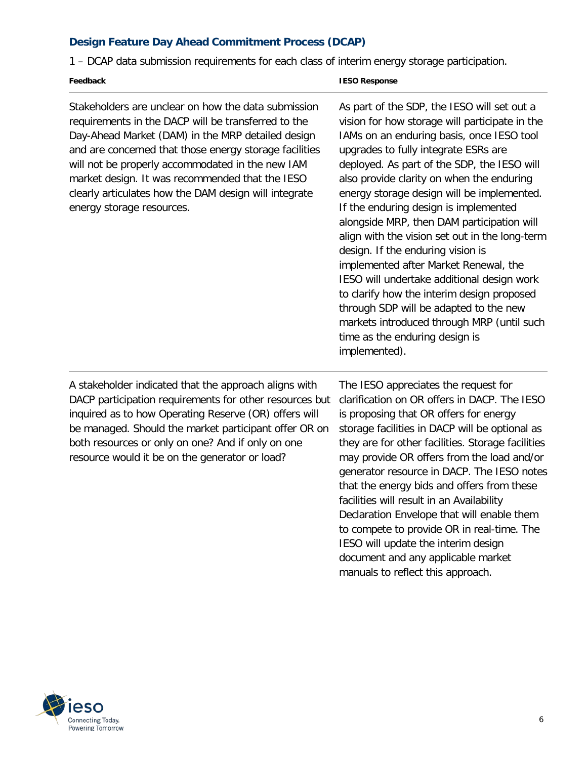# **Design Feature Day Ahead Commitment Process (DCAP)**

1 – DCAP data submission requirements for each class of interim energy storage participation.

#### **Feedback IESO Response**

 Stakeholders are unclear on how the data submission requirements in the DACP will be transferred to the Day-Ahead Market (DAM) in the MRP detailed design and are concerned that those energy storage facilities will not be properly accommodated in the new IAM market design. It was recommended that the IESO clearly articulates how the DAM design will integrate energy storage resources.

 As part of the SDP, the IESO will set out a IAMs on an enduring basis, once IESO tool upgrades to fully integrate ESRs are deployed. As part of the SDP, the IESO will also provide clarity on when the enduring energy storage design will be implemented. If the enduring design is implemented alongside MRP, then DAM participation will align with the vision set out in the long-term implemented after Market Renewal, the IESO will undertake additional design work to clarify how the interim design proposed through SDP will be adapted to the new markets introduced through MRP (until such time as the enduring design is vision for how storage will participate in the design. If the enduring vision is implemented).

 A stakeholder indicated that the approach aligns with DACP participation requirements for other resources but inquired as to how Operating Reserve (OR) offers will be managed. Should the market participant offer OR on both resources or only on one? And if only on one resource would it be on the generator or load?

 The IESO appreciates the request for clarification on OR offers in DACP. The IESO is proposing that OR offers for energy storage facilities in DACP will be optional as they are for other facilities. Storage facilities may provide OR offers from the load and/or generator resource in DACP. The IESO notes that the energy bids and offers from these facilities will result in an Availability to compete to provide OR in real-time. The IESO will update the interim design manuals to reflect this approach. Declaration Envelope that will enable them document and any applicable market

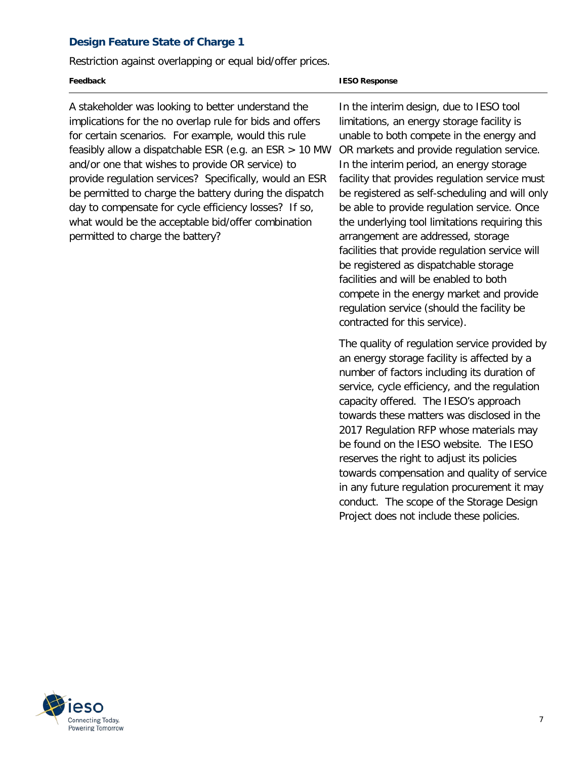## **Design Feature State of Charge 1**

Restriction against overlapping or equal bid/offer prices.

#### **Feedback IESO Response**

 A stakeholder was looking to better understand the implications for the no overlap rule for bids and offers for certain scenarios. For example, would this rule feasibly allow a dispatchable ESR (e.g. an ESR > 10 MW and/or one that wishes to provide OR service) to provide regulation services? Specifically, would an ESR be permitted to charge the battery during the dispatch day to compensate for cycle efficiency losses? If so, permitted to charge the battery? what would be the acceptable bid/offer combination

 In the interim design, due to IESO tool limitations, an energy storage facility is unable to both compete in the energy and OR markets and provide regulation service. In the interim period, an energy storage facility that provides regulation service must be registered as self-scheduling and will only be able to provide regulation service. Once the underlying tool limitations requiring this arrangement are addressed, storage facilities that provide regulation service will facilities and will be enabled to both compete in the energy market and provide contracted for this service). be registered as dispatchable storage regulation service (should the facility be

 an energy storage facility is affected by a number of factors including its duration of service, cycle efficiency, and the regulation capacity offered. The IESO's approach towards these matters was disclosed in the 2017 Regulation RFP whose materials may be found on the IESO website. The IESO reserves the right to adjust its policies towards compensation and quality of service in any future regulation procurement it may conduct. The scope of the Storage Design Project does not include these policies. The quality of regulation service provided by

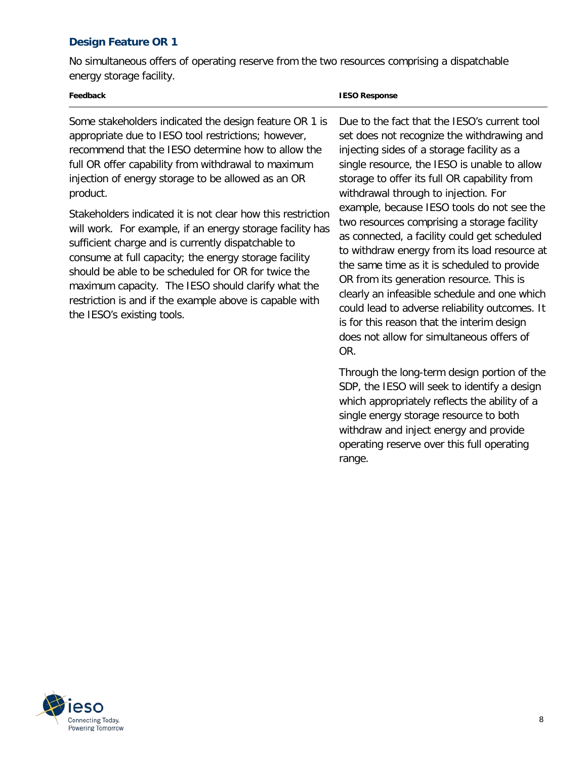# **Design Feature OR 1**

 No simultaneous offers of operating reserve from the two resources comprising a dispatchable energy storage facility.

 Some stakeholders indicated the design feature OR 1 is appropriate due to IESO tool restrictions; however, recommend that the IESO determine how to allow the full OR offer capability from withdrawal to maximum injection of energy storage to be allowed as an OR product.

product.<br>Stakeholders indicated it is not clear how this restriction will work. For example, if an energy storage facility has sufficient charge and is currently dispatchable to consume at full capacity; the energy storage facility should be able to be scheduled for OR for twice the maximum capacity. The IESO should clarify what the restriction is and if the example above is capable with the IESO's existing tools.

#### **IESO Response**

 set does not recognize the withdrawing and injecting sides of a storage facility as a single resource, the IESO is unable to allow storage to offer its full OR capability from withdrawal through to injection. For example, because IESO tools do not see the two resources comprising a storage facility as connected, a facility could get scheduled to withdraw energy from its load resource at the same time as it is scheduled to provide OR from its generation resource. This is clearly an infeasible schedule and one which could lead to adverse reliability outcomes. It is for this reason that the interim design does not allow for simultaneous offers of Due to the fact that the IESO's current tool OR.

 Through the long-term design portion of the SDP, the IESO will seek to identify a design which appropriately reflects the ability of a single energy storage resource to both operating reserve over this full operating range. withdraw and inject energy and provide range. 8

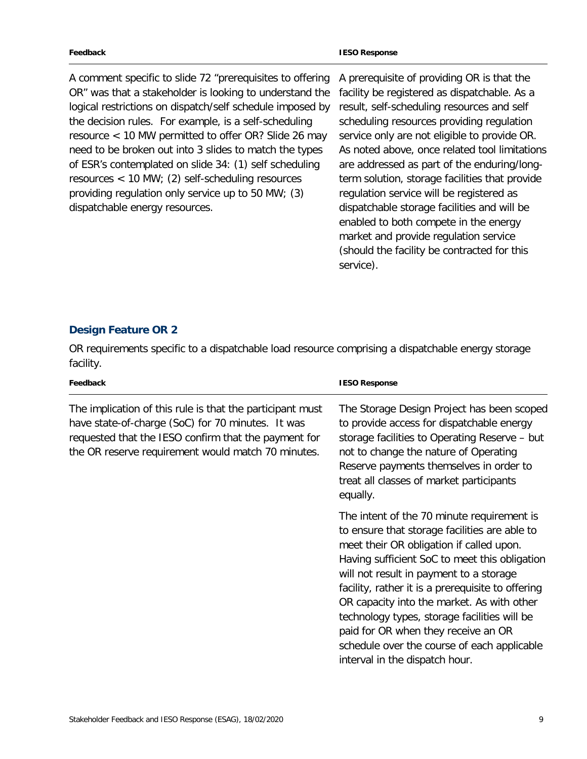A comment specific to slide 72 "prerequisites to offering OR" was that a stakeholder is looking to understand the logical restrictions on dispatch/self schedule imposed by the decision rules. For example, is a self-scheduling resource < 10 MW permitted to offer OR? Slide 26 may need to be broken out into 3 slides to match the types of ESR's contemplated on slide 34: (1) self scheduling resources < 10 MW; (2) self-scheduling resources providing regulation only service up to 50 MW; (3) dispatchable energy resources.

 A prerequisite of providing OR is that the facility be registered as dispatchable. As a result, self-scheduling resources and self scheduling resources providing regulation service only are not eligible to provide OR. As noted above, once related tool limitations are addressed as part of the enduring/long- term solution, storage facilities that provide regulation service will be registered as dispatchable storage facilities and will be market and provide regulation service (should the facility be contracted for this enabled to both compete in the energy service).

### **Design Feature OR 2**

OR requirements specific to a dispatchable load resource comprising a dispatchable energy storage facility.

| Feedback                                                                                                                                                                                                                     | <b>IESO Response</b>                                                                                                                                                                                                                                                                                                                                                                                                                                                                                           |
|------------------------------------------------------------------------------------------------------------------------------------------------------------------------------------------------------------------------------|----------------------------------------------------------------------------------------------------------------------------------------------------------------------------------------------------------------------------------------------------------------------------------------------------------------------------------------------------------------------------------------------------------------------------------------------------------------------------------------------------------------|
| The implication of this rule is that the participant must<br>have state-of-charge (SoC) for 70 minutes. It was<br>requested that the IESO confirm that the payment for<br>the OR reserve requirement would match 70 minutes. | The Storage Design Project has been scoped<br>to provide access for dispatchable energy<br>storage facilities to Operating Reserve - but<br>not to change the nature of Operating<br>Reserve payments themselves in order to<br>treat all classes of market participants<br>equally.                                                                                                                                                                                                                           |
|                                                                                                                                                                                                                              | The intent of the 70 minute requirement is<br>to ensure that storage facilities are able to<br>meet their OR obligation if called upon.<br>Having sufficient SoC to meet this obligation<br>will not result in payment to a storage<br>facility, rather it is a prerequisite to offering<br>OR capacity into the market. As with other<br>technology types, storage facilities will be<br>paid for OR when they receive an OR<br>schedule over the course of each applicable<br>interval in the dispatch hour. |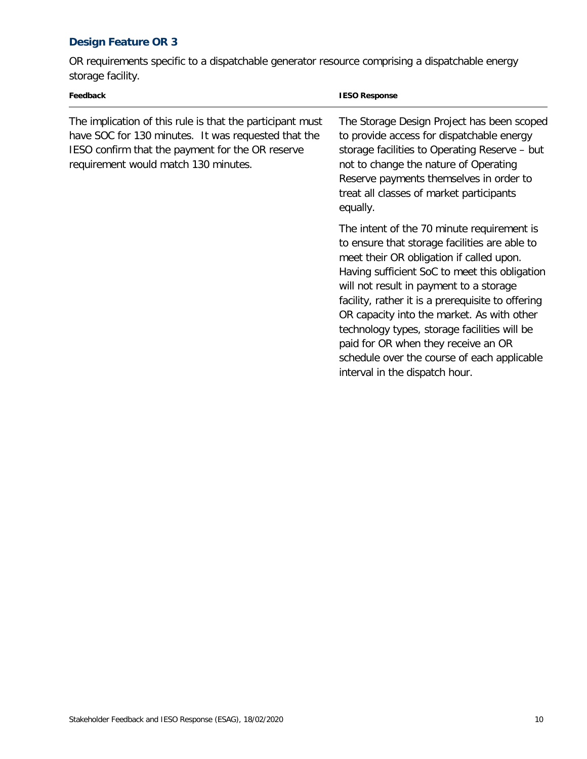# **Design Feature OR 3**

 OR requirements specific to a dispatchable generator resource comprising a dispatchable energy storage facility.

| Feedback                                                                                                                                                                                                     | <b>IESO Response</b>                                                                                                                                                                                                                                                                                                                                                                                                                                                                                           |
|--------------------------------------------------------------------------------------------------------------------------------------------------------------------------------------------------------------|----------------------------------------------------------------------------------------------------------------------------------------------------------------------------------------------------------------------------------------------------------------------------------------------------------------------------------------------------------------------------------------------------------------------------------------------------------------------------------------------------------------|
| The implication of this rule is that the participant must<br>have SOC for 130 minutes. It was requested that the<br>IESO confirm that the payment for the OR reserve<br>requirement would match 130 minutes. | The Storage Design Project has been scoped<br>to provide access for dispatchable energy<br>storage facilities to Operating Reserve - but<br>not to change the nature of Operating<br>Reserve payments themselves in order to<br>treat all classes of market participants<br>equally.                                                                                                                                                                                                                           |
|                                                                                                                                                                                                              | The intent of the 70 minute requirement is<br>to ensure that storage facilities are able to<br>meet their OR obligation if called upon.<br>Having sufficient SoC to meet this obligation<br>will not result in payment to a storage<br>facility, rather it is a prerequisite to offering<br>OR capacity into the market. As with other<br>technology types, storage facilities will be<br>paid for OR when they receive an OR<br>schedule over the course of each applicable<br>interval in the dispatch hour. |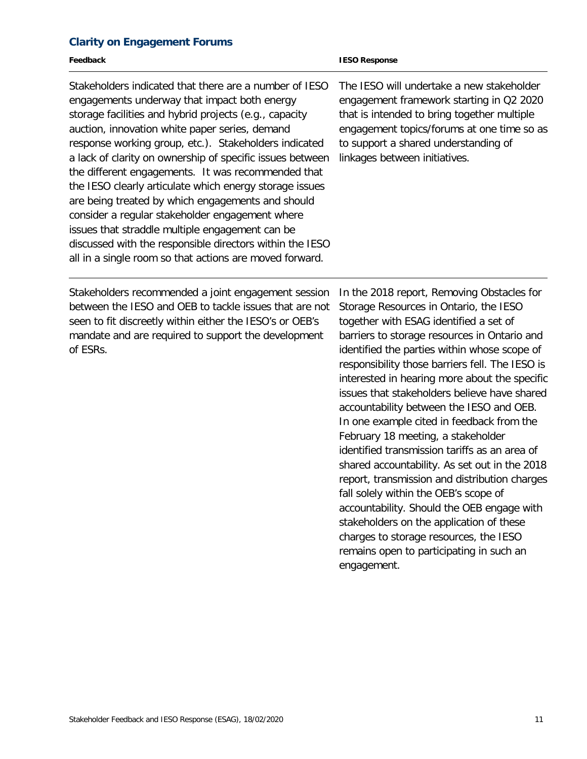#### **Clarity on Engagement Forums**

| Feedback                                                                                                                                                                                                                                                                                                                                                                                                                                                                                                                                                                                                                                                                                                                                    | <b>IESO Response</b>                                                                                                                                                                                                                                                              |
|---------------------------------------------------------------------------------------------------------------------------------------------------------------------------------------------------------------------------------------------------------------------------------------------------------------------------------------------------------------------------------------------------------------------------------------------------------------------------------------------------------------------------------------------------------------------------------------------------------------------------------------------------------------------------------------------------------------------------------------------|-----------------------------------------------------------------------------------------------------------------------------------------------------------------------------------------------------------------------------------------------------------------------------------|
| Stakeholders indicated that there are a number of IESO<br>engagements underway that impact both energy<br>storage facilities and hybrid projects (e.g., capacity<br>auction, innovation white paper series, demand<br>response working group, etc.). Stakeholders indicated<br>a lack of clarity on ownership of specific issues between<br>the different engagements. It was recommended that<br>the IESO clearly articulate which energy storage issues<br>are being treated by which engagements and should<br>consider a regular stakeholder engagement where<br>issues that straddle multiple engagement can be<br>discussed with the responsible directors within the IESO<br>all in a single room so that actions are moved forward. | The IESO will undertake a new stakeholder<br>engagement framework starting in Q2 2020<br>that is intended to bring together multiple<br>engagement topics/forums at one time so as<br>to support a shared understanding of<br>linkages between initiatives.                       |
| Stakeholders recommended a joint engagement session<br>between the IESO and OEB to tackle issues that are not<br>seen to fit discreetly within either the IESO's or OEB's<br>mandate and are required to support the development<br>of ESRs.                                                                                                                                                                                                                                                                                                                                                                                                                                                                                                | In the 2018 report, Removing Obstacles for<br>Storage Resources in Ontario, the IESO<br>together with ESAG identified a set of<br>barriers to storage resources in Ontario and<br>identified the parties within whose scope of<br>responsibility those barriers fell. The IESO is |

interested in hearing more about the specific issues that stakeholders believe have shared accountability between the IESO and OEB. In one example cited in feedback from the February 18 meeting, a stakeholder identified transmission tariffs as an area of shared accountability. As set out in the 2018 report, transmission and distribution charges fall solely within the OEB's scope of accountability. Should the OEB engage with stakeholders on the application of these charges to storage resources, the IESO remains open to participating in such an engagement.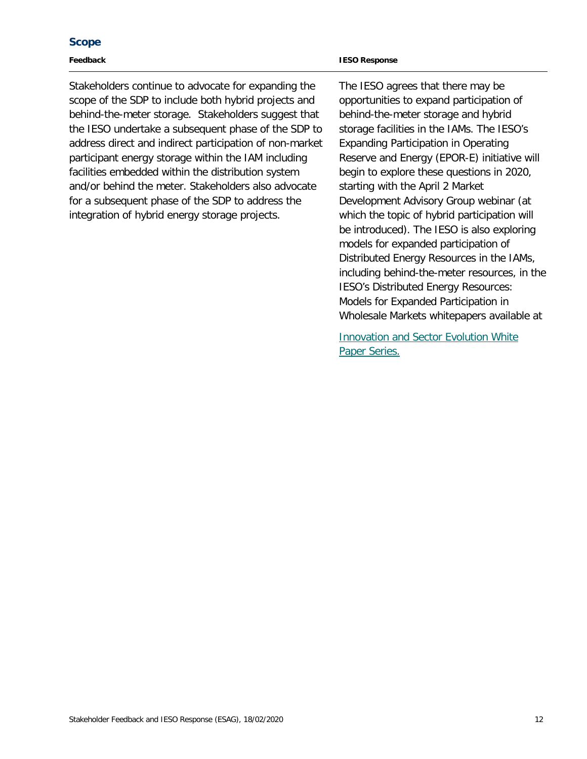#### **Scope**

#### **Feedback**

Stakeholders continue to advocate for expanding the scope of the SDP to include both hybrid projects and behind-the-meter storage. Stakeholders suggest that the IESO undertake a subsequent phase of the SDP to address direct and indirect participation of non-market participant energy storage within the IAM including facilities embedded within the distribution system and/or behind the meter. Stakeholders also advocate for a subsequent phase of the SDP to address the integration of hybrid energy storage projects.

The IESO agrees that there may be opportunities to expand participation of behind-the-meter storage and hybrid storage facilities in the IAMs. The IESO's Expanding Participation in Operating Reserve and Energy (EPOR-E) initiative will begin to explore these questions in 2020, starting with the April 2 Market Development Advisory Group webinar (at which the topic of hybrid participation will be introduced). The IESO is also exploring models for expanded participation of Distributed Energy Resources in the IAMs, including behind-the-meter resources, in the IESO's Distributed Energy Resources: Models for Expanded Participation in Wholesale Markets whitepapers available at

**Innovation and Sector Evolution White** Paper Series.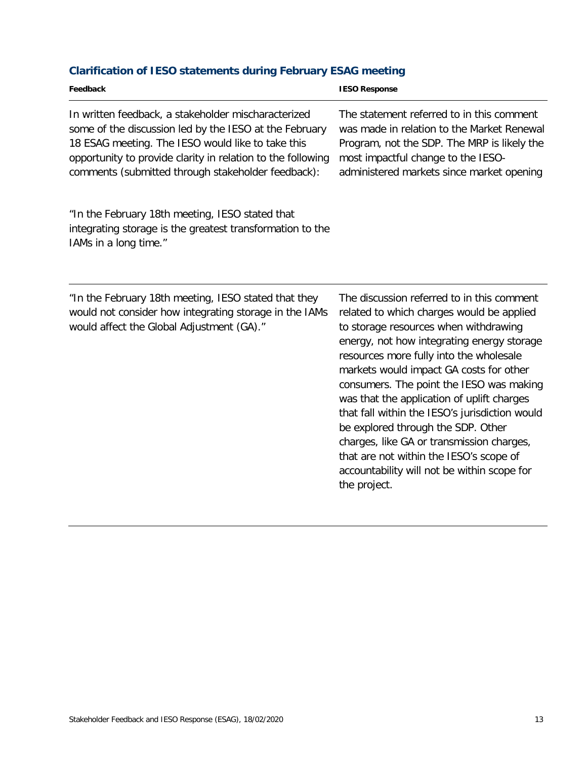# **Clarification of IESO statements during February ESAG meeting**

| Feedback                                                                                                                                                                                                                                                                                | <b>IESO Response</b>                                                                                                                                                                                                                                                                                                                                                                                                                                                                                                                                                                                          |
|-----------------------------------------------------------------------------------------------------------------------------------------------------------------------------------------------------------------------------------------------------------------------------------------|---------------------------------------------------------------------------------------------------------------------------------------------------------------------------------------------------------------------------------------------------------------------------------------------------------------------------------------------------------------------------------------------------------------------------------------------------------------------------------------------------------------------------------------------------------------------------------------------------------------|
| In written feedback, a stakeholder mischaracterized<br>some of the discussion led by the IESO at the February<br>18 ESAG meeting. The IESO would like to take this<br>opportunity to provide clarity in relation to the following<br>comments (submitted through stakeholder feedback): | The statement referred to in this comment<br>was made in relation to the Market Renewal<br>Program, not the SDP. The MRP is likely the<br>most impactful change to the IESO-<br>administered markets since market opening                                                                                                                                                                                                                                                                                                                                                                                     |
| "In the February 18th meeting, IESO stated that<br>integrating storage is the greatest transformation to the<br>IAMs in a long time."                                                                                                                                                   |                                                                                                                                                                                                                                                                                                                                                                                                                                                                                                                                                                                                               |
| "In the February 18th meeting, IESO stated that they<br>would not consider how integrating storage in the IAMs<br>would affect the Global Adjustment (GA)."                                                                                                                             | The discussion referred to in this comment<br>related to which charges would be applied<br>to storage resources when withdrawing<br>energy, not how integrating energy storage<br>resources more fully into the wholesale<br>markets would impact GA costs for other<br>consumers. The point the IESO was making<br>was that the application of uplift charges<br>that fall within the IESO's jurisdiction would<br>be explored through the SDP. Other<br>charges, like GA or transmission charges,<br>that are not within the IESO's scope of<br>accountability will not be within scope for<br>the project. |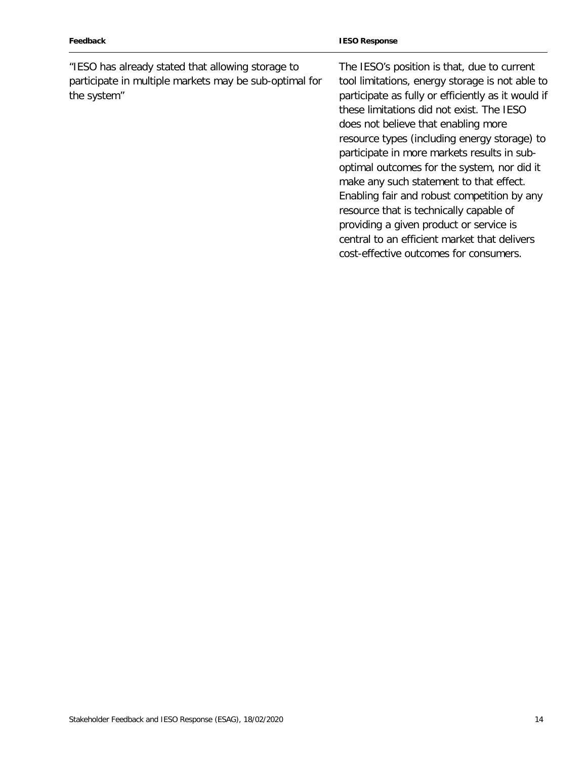| Feedback                                                                                                                   | <b>IESO Response</b>                                                                                                                                                                                                                                                                                                                                                                                                                                                                                                                                                                                                                                             |
|----------------------------------------------------------------------------------------------------------------------------|------------------------------------------------------------------------------------------------------------------------------------------------------------------------------------------------------------------------------------------------------------------------------------------------------------------------------------------------------------------------------------------------------------------------------------------------------------------------------------------------------------------------------------------------------------------------------------------------------------------------------------------------------------------|
| "IESO has already stated that allowing storage to<br>participate in multiple markets may be sub-optimal for<br>the system" | The IESO's position is that, due to current<br>tool limitations, energy storage is not able to<br>participate as fully or efficiently as it would if<br>these limitations did not exist. The IESO<br>does not believe that enabling more<br>resource types (including energy storage) to<br>participate in more markets results in sub-<br>optimal outcomes for the system, nor did it<br>make any such statement to that effect.<br>Enabling fair and robust competition by any<br>resource that is technically capable of<br>providing a given product or service is<br>central to an efficient market that delivers<br>cost-effective outcomes for consumers. |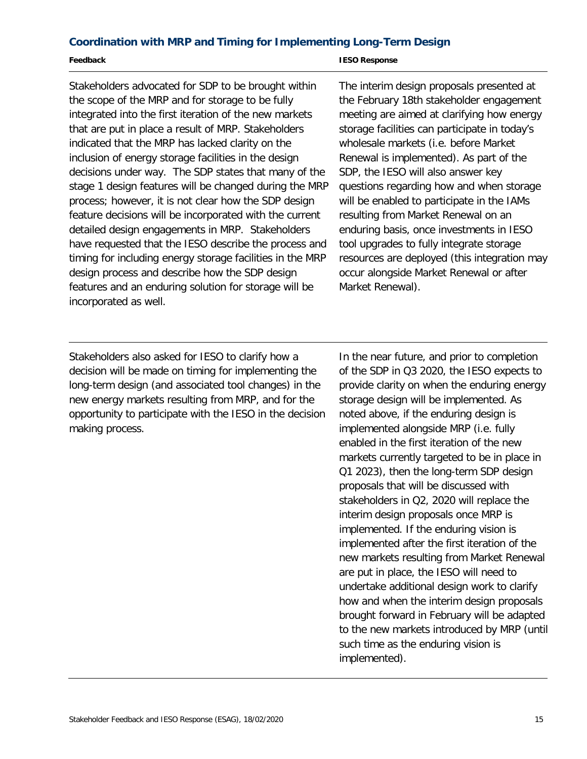#### **Coordination with MRP and Timing for Implementing Long-Term Design**

#### **Feedback**

**IESO Response** 

Stakeholders advocated for SDP to be brought within the scope of the MRP and for storage to be fully integrated into the first iteration of the new markets that are put in place a result of MRP. Stakeholders indicated that the MRP has lacked clarity on the inclusion of energy storage facilities in the design decisions under way. The SDP states that many of the stage 1 design features will be changed during the MRP process; however, it is not clear how the SDP design feature decisions will be incorporated with the current detailed design engagements in MRP. Stakeholders have requested that the IESO describe the process and timing for including energy storage facilities in the MRP design process and describe how the SDP design features and an enduring solution for storage will be incorporated as well.

 meeting are aimed at clarifying how energy storage facilities can participate in today's wholesale markets (i.e. before Market Renewal is implemented). As part of the SDP, the IESO will also answer key questions regarding how and when storage will be enabled to participate in the IAMs resulting from Market Renewal on an enduring basis, once investments in IESO tool upgrades to fully integrate storage occur alongside Market Renewal or after The interim design proposals presented at the February 18th stakeholder engagement resources are deployed (this integration may Market Renewal).

Stakeholders also asked for IESO to clarify how a decision will be made on timing for implementing the long-term design (and associated tool changes) in the new energy markets resulting from MRP, and for the opportunity to participate with the IESO in the decision making process.

In the near future, and prior to completion of the SDP in Q3 2020, the IESO expects to provide clarity on when the enduring energy storage design will be implemented. As noted above, if the enduring design is implemented alongside MRP (i.e. fully enabled in the first iteration of the new markets currently targeted to be in place in Q1 2023), then the long-term SDP design proposals that will be discussed with stakeholders in Q2, 2020 will replace the interim design proposals once MRP is implemented. If the enduring vision is implemented after the first iteration of the new markets resulting from Market Renewal are put in place, the IESO will need to undertake additional design work to clarify how and when the interim design proposals brought forward in February will be adapted to the new markets introduced by MRP (until such time as the enduring vision is implemented).